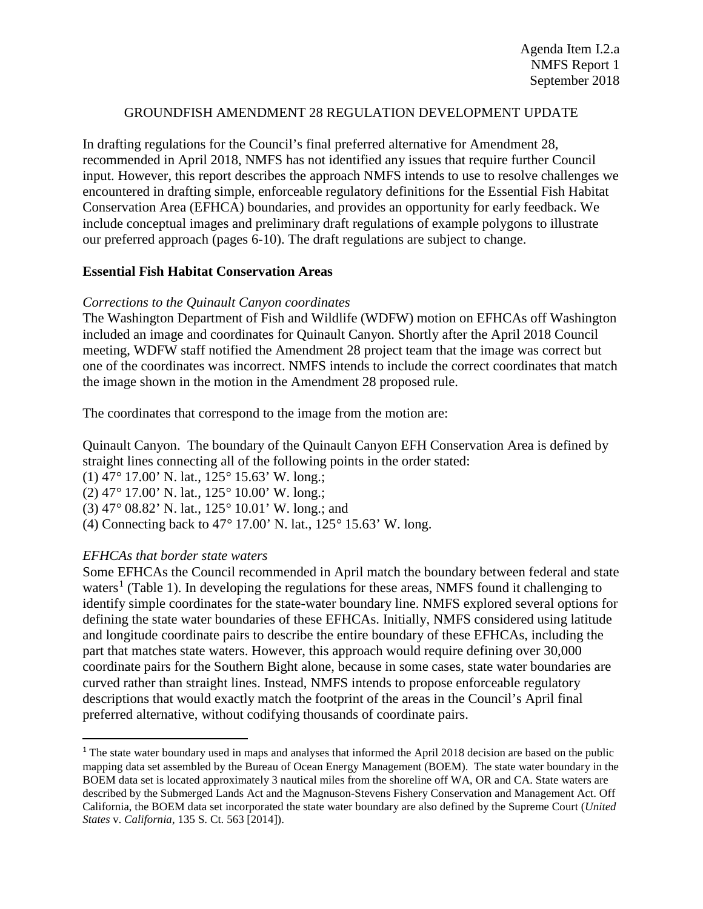#### GROUNDFISH AMENDMENT 28 REGULATION DEVELOPMENT UPDATE

In drafting regulations for the Council's final preferred alternative for Amendment 28, recommended in April 2018, NMFS has not identified any issues that require further Council input. However, this report describes the approach NMFS intends to use to resolve challenges we encountered in drafting simple, enforceable regulatory definitions for the Essential Fish Habitat Conservation Area (EFHCA) boundaries, and provides an opportunity for early feedback. We include conceptual images and preliminary draft regulations of example polygons to illustrate our preferred approach (pages 6-10). The draft regulations are subject to change.

#### **Essential Fish Habitat Conservation Areas**

### *Corrections to the Quinault Canyon coordinates*

The Washington Department of Fish and Wildlife (WDFW) motion on EFHCAs off Washington included an image and coordinates for Quinault Canyon. Shortly after the April 2018 Council meeting, WDFW staff notified the Amendment 28 project team that the image was correct but one of the coordinates was incorrect. NMFS intends to include the correct coordinates that match the image shown in the motion in the Amendment 28 proposed rule.

The coordinates that correspond to the image from the motion are:

Quinault Canyon. The boundary of the Quinault Canyon EFH Conservation Area is defined by straight lines connecting all of the following points in the order stated: (1) 47*°* 17.00' N. lat., 125*°* 15.63' W. long.; (2) 47*°* 17.00' N. lat., 125*°* 10.00' W. long.; (3) 47*°* 08.82' N. lat., 125*°* 10.01' W. long.; and (4) Connecting back to 47*°* 17.00' N. lat., 125*°* 15.63' W. long.

### *EFHCAs that border state waters*

Some EFHCAs the Council recommended in April match the boundary between federal and state waters<sup>[1](#page-0-0)</sup> (Table 1). In developing the regulations for these areas, NMFS found it challenging to identify simple coordinates for the state-water boundary line. NMFS explored several options for defining the state water boundaries of these EFHCAs. Initially, NMFS considered using latitude and longitude coordinate pairs to describe the entire boundary of these EFHCAs, including the part that matches state waters. However, this approach would require defining over 30,000 coordinate pairs for the Southern Bight alone, because in some cases, state water boundaries are curved rather than straight lines. Instead, NMFS intends to propose enforceable regulatory descriptions that would exactly match the footprint of the areas in the Council's April final preferred alternative, without codifying thousands of coordinate pairs.

<span id="page-0-0"></span><sup>&</sup>lt;sup>1</sup> The state water boundary used in maps and analyses that informed the April 2018 decision are based on the public mapping data set assembled by the Bureau of Ocean Energy Management (BOEM). The state water boundary in the BOEM data set is located approximately 3 nautical miles from the shoreline off WA, OR and CA. State waters are described by the Submerged Lands Act and the Magnuson-Stevens Fishery Conservation and Management Act. Off California, the BOEM data set incorporated the state water boundary are also defined by the Supreme Court (*United States* v. *California*, 135 S. Ct. 563 [2014]).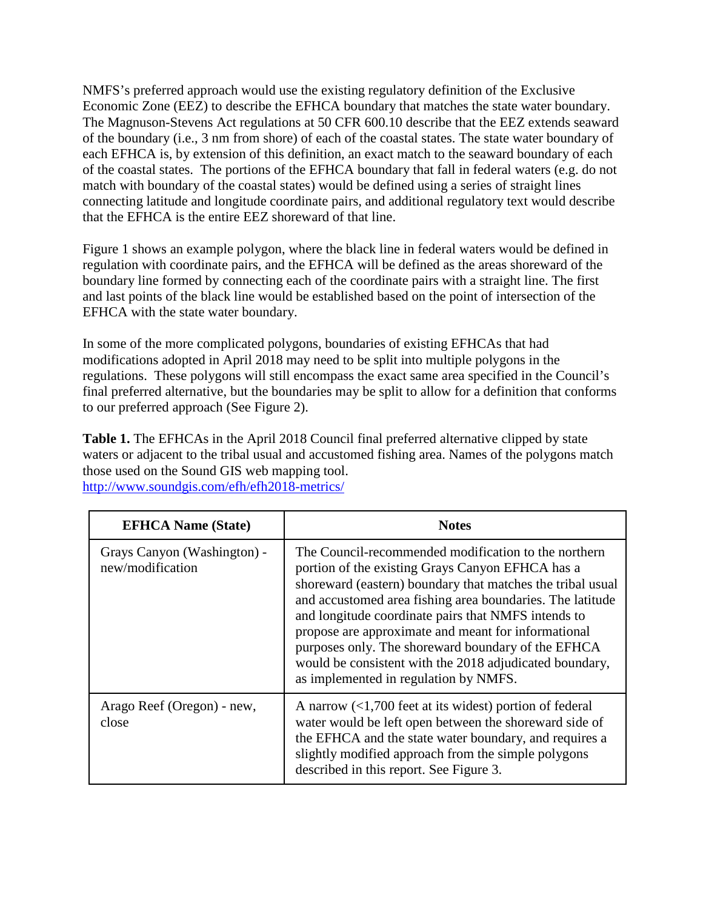NMFS's preferred approach would use the existing regulatory definition of the Exclusive Economic Zone (EEZ) to describe the EFHCA boundary that matches the state water boundary. The Magnuson-Stevens Act regulations at 50 CFR 600.10 describe that the EEZ extends seaward of the boundary (i.e., 3 nm from shore) of each of the coastal states. The state water boundary of each EFHCA is, by extension of this definition, an exact match to the seaward boundary of each of the coastal states. The portions of the EFHCA boundary that fall in federal waters (e.g. do not match with boundary of the coastal states) would be defined using a series of straight lines connecting latitude and longitude coordinate pairs, and additional regulatory text would describe that the EFHCA is the entire EEZ shoreward of that line.

Figure 1 shows an example polygon, where the black line in federal waters would be defined in regulation with coordinate pairs, and the EFHCA will be defined as the areas shoreward of the boundary line formed by connecting each of the coordinate pairs with a straight line. The first and last points of the black line would be established based on the point of intersection of the EFHCA with the state water boundary.

In some of the more complicated polygons, boundaries of existing EFHCAs that had modifications adopted in April 2018 may need to be split into multiple polygons in the regulations. These polygons will still encompass the exact same area specified in the Council's final preferred alternative, but the boundaries may be split to allow for a definition that conforms to our preferred approach (See Figure 2).

**Table 1.** The EFHCAs in the April 2018 Council final preferred alternative clipped by state waters or adjacent to the tribal usual and accustomed fishing area. Names of the polygons match those used on the Sound GIS web mapping tool. <http://www.soundgis.com/efh/efh2018-metrics/>

| <b>EFHCA Name (State)</b>                       | <b>Notes</b>                                                                                                                                                                                                                                                                                                                                                                                                                                                                                                |
|-------------------------------------------------|-------------------------------------------------------------------------------------------------------------------------------------------------------------------------------------------------------------------------------------------------------------------------------------------------------------------------------------------------------------------------------------------------------------------------------------------------------------------------------------------------------------|
| Grays Canyon (Washington) -<br>new/modification | The Council-recommended modification to the northern<br>portion of the existing Grays Canyon EFHCA has a<br>shoreward (eastern) boundary that matches the tribal usual<br>and accustomed area fishing area boundaries. The latitude<br>and longitude coordinate pairs that NMFS intends to<br>propose are approximate and meant for informational<br>purposes only. The shoreward boundary of the EFHCA<br>would be consistent with the 2018 adjudicated boundary,<br>as implemented in regulation by NMFS. |
| Arago Reef (Oregon) - new,<br>close             | A narrow $\left($ <1,700 feet at its widest) portion of federal<br>water would be left open between the shoreward side of<br>the EFHCA and the state water boundary, and requires a<br>slightly modified approach from the simple polygons<br>described in this report. See Figure 3.                                                                                                                                                                                                                       |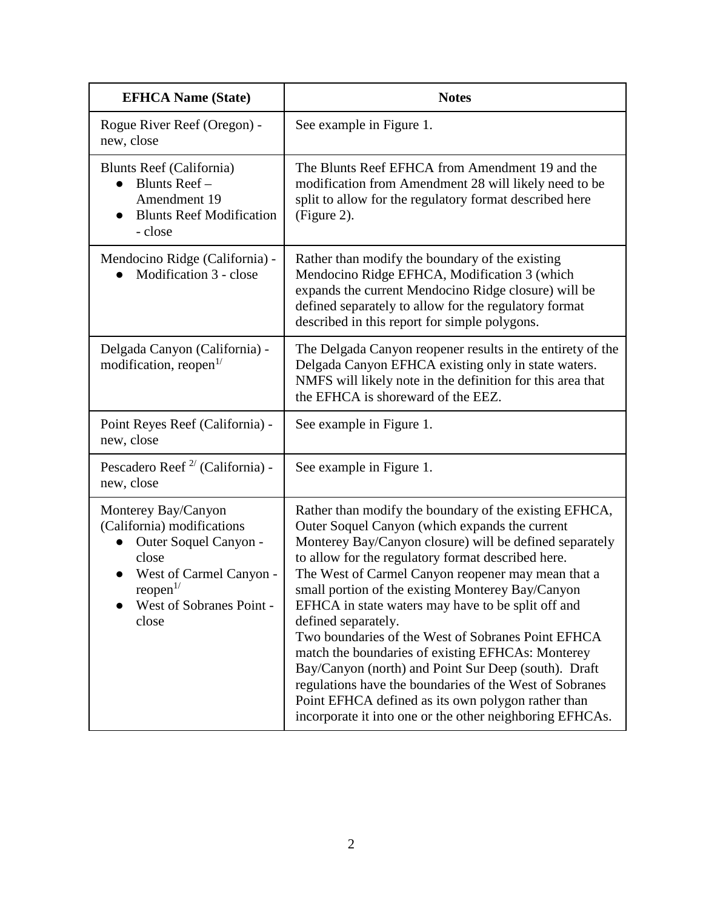| <b>EFHCA Name (State)</b>                                                                                                                                                   | <b>Notes</b>                                                                                                                                                                                                                                                                                                                                                                                                                                                                                                                                                                                                                                                                                                                                                      |
|-----------------------------------------------------------------------------------------------------------------------------------------------------------------------------|-------------------------------------------------------------------------------------------------------------------------------------------------------------------------------------------------------------------------------------------------------------------------------------------------------------------------------------------------------------------------------------------------------------------------------------------------------------------------------------------------------------------------------------------------------------------------------------------------------------------------------------------------------------------------------------------------------------------------------------------------------------------|
| Rogue River Reef (Oregon) -<br>new, close                                                                                                                                   | See example in Figure 1.                                                                                                                                                                                                                                                                                                                                                                                                                                                                                                                                                                                                                                                                                                                                          |
| <b>Blunts Reef (California)</b><br>Blunts Reef-<br>Amendment 19<br><b>Blunts Reef Modification</b><br>- close                                                               | The Blunts Reef EFHCA from Amendment 19 and the<br>modification from Amendment 28 will likely need to be<br>split to allow for the regulatory format described here<br>(Figure 2).                                                                                                                                                                                                                                                                                                                                                                                                                                                                                                                                                                                |
| Mendocino Ridge (California) -<br>Modification 3 - close                                                                                                                    | Rather than modify the boundary of the existing<br>Mendocino Ridge EFHCA, Modification 3 (which<br>expands the current Mendocino Ridge closure) will be<br>defined separately to allow for the regulatory format<br>described in this report for simple polygons.                                                                                                                                                                                                                                                                                                                                                                                                                                                                                                 |
| Delgada Canyon (California) -<br>modification, reopen <sup>1/</sup>                                                                                                         | The Delgada Canyon reopener results in the entirety of the<br>Delgada Canyon EFHCA existing only in state waters.<br>NMFS will likely note in the definition for this area that<br>the EFHCA is shoreward of the EEZ.                                                                                                                                                                                                                                                                                                                                                                                                                                                                                                                                             |
| Point Reyes Reef (California) -<br>new, close                                                                                                                               | See example in Figure 1.                                                                                                                                                                                                                                                                                                                                                                                                                                                                                                                                                                                                                                                                                                                                          |
| Pescadero Reef <sup><math>2</math></sup> (California) -<br>new, close                                                                                                       | See example in Figure 1.                                                                                                                                                                                                                                                                                                                                                                                                                                                                                                                                                                                                                                                                                                                                          |
| Monterey Bay/Canyon<br>(California) modifications<br>Outer Soquel Canyon -<br>close<br>West of Carmel Canyon -<br>reopen <sup>1/</sup><br>West of Sobranes Point -<br>close | Rather than modify the boundary of the existing EFHCA,<br>Outer Soquel Canyon (which expands the current<br>Monterey Bay/Canyon closure) will be defined separately<br>to allow for the regulatory format described here.<br>The West of Carmel Canyon reopener may mean that a<br>small portion of the existing Monterey Bay/Canyon<br>EFHCA in state waters may have to be split off and<br>defined separately.<br>Two boundaries of the West of Sobranes Point EFHCA<br>match the boundaries of existing EFHCAs: Monterey<br>Bay/Canyon (north) and Point Sur Deep (south). Draft<br>regulations have the boundaries of the West of Sobranes<br>Point EFHCA defined as its own polygon rather than<br>incorporate it into one or the other neighboring EFHCAs. |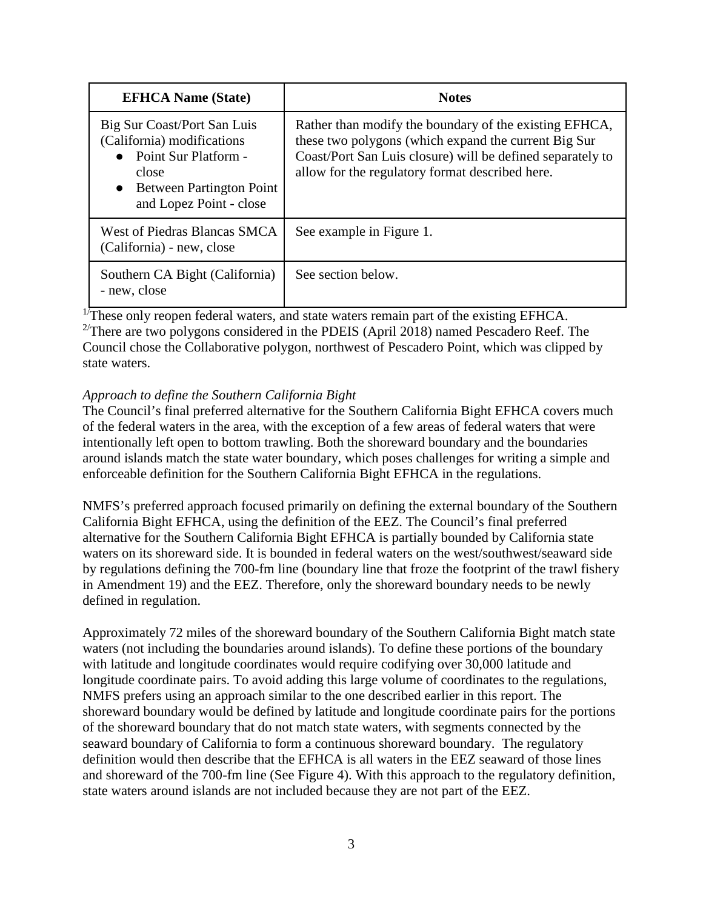| <b>EFHCA Name (State)</b>                                                                                                                                             | <b>Notes</b>                                                                                                                                                                                                                    |
|-----------------------------------------------------------------------------------------------------------------------------------------------------------------------|---------------------------------------------------------------------------------------------------------------------------------------------------------------------------------------------------------------------------------|
| Big Sur Coast/Port San Luis<br>(California) modifications<br>Point Sur Platform -<br>close<br><b>Between Partington Point</b><br>$\bullet$<br>and Lopez Point - close | Rather than modify the boundary of the existing EFHCA,<br>these two polygons (which expand the current Big Sur<br>Coast/Port San Luis closure) will be defined separately to<br>allow for the regulatory format described here. |
| West of Piedras Blancas SMCA<br>(California) - new, close                                                                                                             | See example in Figure 1.                                                                                                                                                                                                        |
| Southern CA Bight (California)<br>- new, close                                                                                                                        | See section below.                                                                                                                                                                                                              |

 $1/T$ hese only reopen federal waters, and state waters remain part of the existing EFHCA.

<sup>2/</sup>There are two polygons considered in the PDEIS (April 2018) named Pescadero Reef. The Council chose the Collaborative polygon, northwest of Pescadero Point, which was clipped by state waters.

### *Approach to define the Southern California Bight*

The Council's final preferred alternative for the Southern California Bight EFHCA covers much of the federal waters in the area, with the exception of a few areas of federal waters that were intentionally left open to bottom trawling. Both the shoreward boundary and the boundaries around islands match the state water boundary, which poses challenges for writing a simple and enforceable definition for the Southern California Bight EFHCA in the regulations.

NMFS's preferred approach focused primarily on defining the external boundary of the Southern California Bight EFHCA, using the definition of the EEZ. The Council's final preferred alternative for the Southern California Bight EFHCA is partially bounded by California state waters on its shoreward side. It is bounded in federal waters on the west/southwest/seaward side by regulations defining the 700-fm line (boundary line that froze the footprint of the trawl fishery in Amendment 19) and the EEZ. Therefore, only the shoreward boundary needs to be newly defined in regulation.

Approximately 72 miles of the shoreward boundary of the Southern California Bight match state waters (not including the boundaries around islands). To define these portions of the boundary with latitude and longitude coordinates would require codifying over 30,000 latitude and longitude coordinate pairs. To avoid adding this large volume of coordinates to the regulations, NMFS prefers using an approach similar to the one described earlier in this report. The shoreward boundary would be defined by latitude and longitude coordinate pairs for the portions of the shoreward boundary that do not match state waters, with segments connected by the seaward boundary of California to form a continuous shoreward boundary. The regulatory definition would then describe that the EFHCA is all waters in the EEZ seaward of those lines and shoreward of the 700-fm line (See Figure 4). With this approach to the regulatory definition, state waters around islands are not included because they are not part of the EEZ.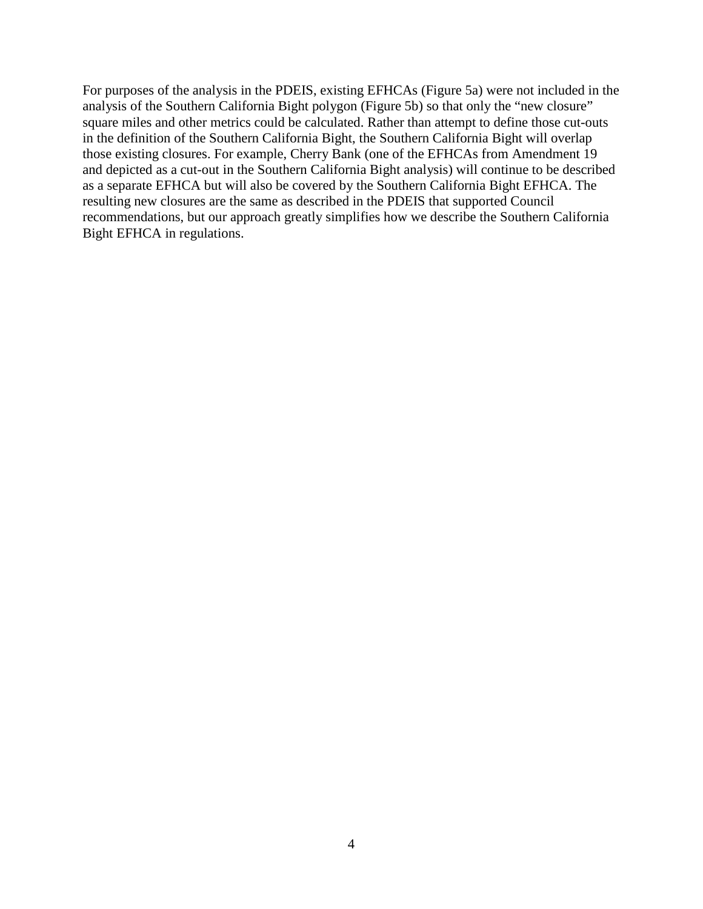For purposes of the analysis in the PDEIS, existing EFHCAs (Figure 5a) were not included in the analysis of the Southern California Bight polygon (Figure 5b) so that only the "new closure" square miles and other metrics could be calculated. Rather than attempt to define those cut-outs in the definition of the Southern California Bight, the Southern California Bight will overlap those existing closures. For example, Cherry Bank (one of the EFHCAs from Amendment 19 and depicted as a cut-out in the Southern California Bight analysis) will continue to be described as a separate EFHCA but will also be covered by the Southern California Bight EFHCA. The resulting new closures are the same as described in the PDEIS that supported Council recommendations, but our approach greatly simplifies how we describe the Southern California Bight EFHCA in regulations.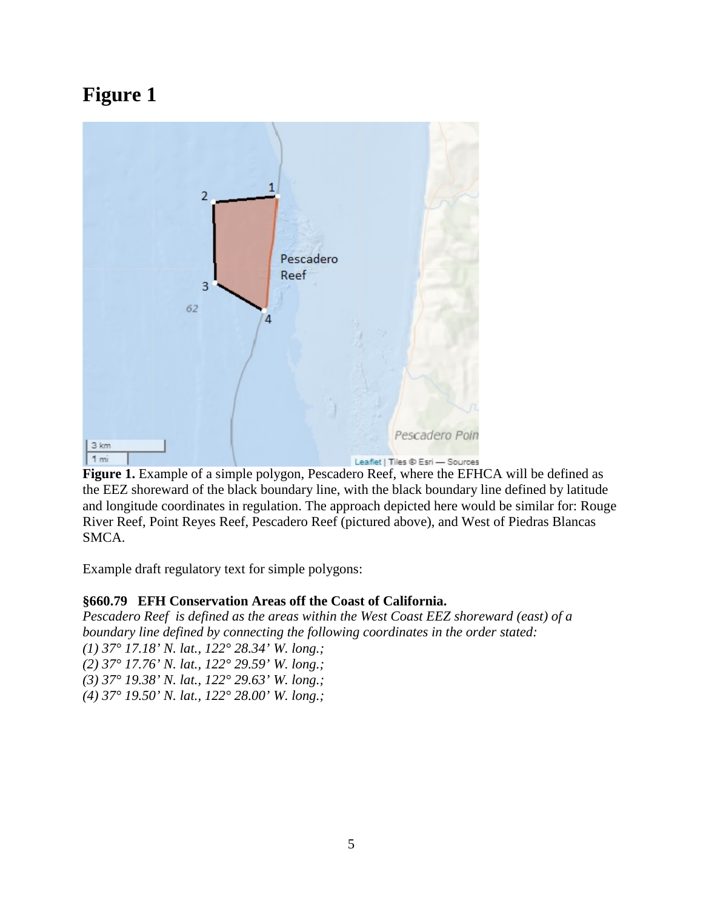

**Figure 1.** Example of a simple polygon, Pescadero Reef, where the EFHCA will be defined as the EEZ shoreward of the black boundary line, with the black boundary line defined by latitude and longitude coordinates in regulation. The approach depicted here would be similar for: Rouge River Reef, Point Reyes Reef, Pescadero Reef (pictured above), and West of Piedras Blancas SMCA.

Example draft regulatory text for simple polygons:

## **§660.79 EFH Conservation Areas off the Coast of California.**

*Pescadero Reef is defined as the areas within the West Coast EEZ shoreward (east) of a boundary line defined by connecting the following coordinates in the order stated: (1) 37° 17.18' N. lat., 122° 28.34' W. long.;*

*(2) 37° 17.76' N. lat., 122° 29.59' W. long.;*

*(3) 37° 19.38' N. lat., 122° 29.63' W. long.;*

*(4) 37° 19.50' N. lat., 122° 28.00' W. long.;*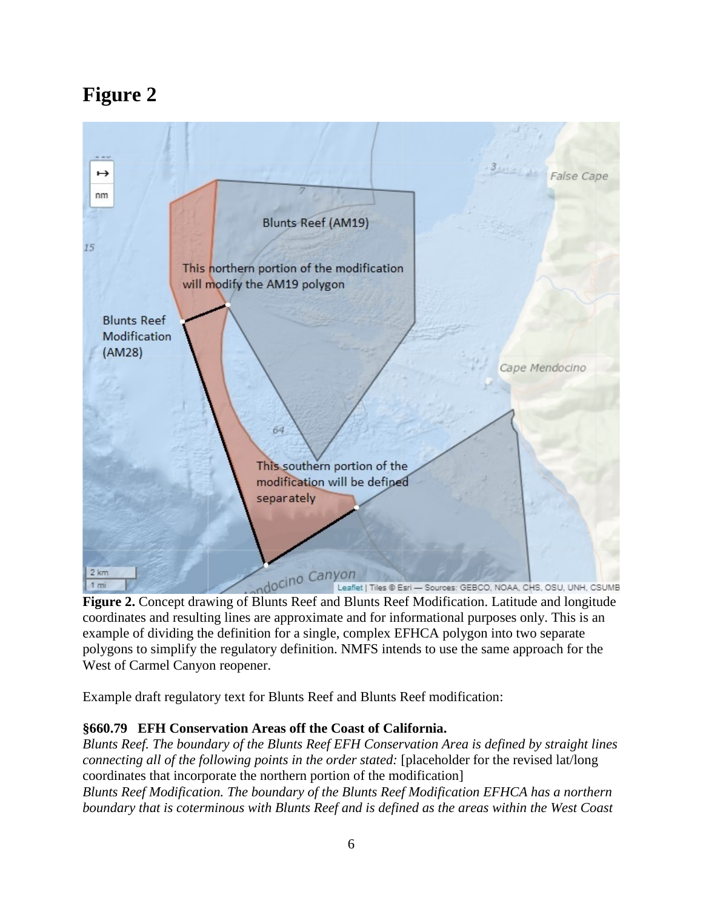

**Figure 2.** Concept drawing of Blunts Reef and Blunts Reef Modification. Latitude and longitude coordinates and resulting lines are approximate and for informational purposes only. This is an example of dividing the definition for a single, complex EFHCA polygon into two separate polygons to simplify the regulatory definition. NMFS intends to use the same approach for the West of Carmel Canyon reopener.

Example draft regulatory text for Blunts Reef and Blunts Reef modification:

## **§660.79 EFH Conservation Areas off the Coast of California.**

*Blunts Reef. The boundary of the Blunts Reef EFH Conservation Area is defined by straight lines connecting all of the following points in the order stated:* [placeholder for the revised lat/long] coordinates that incorporate the northern portion of the modification] *Blunts Reef Modification. The boundary of the Blunts Reef Modification EFHCA has a northern boundary that is coterminous with Blunts Reef and is defined as the areas within the West Coast*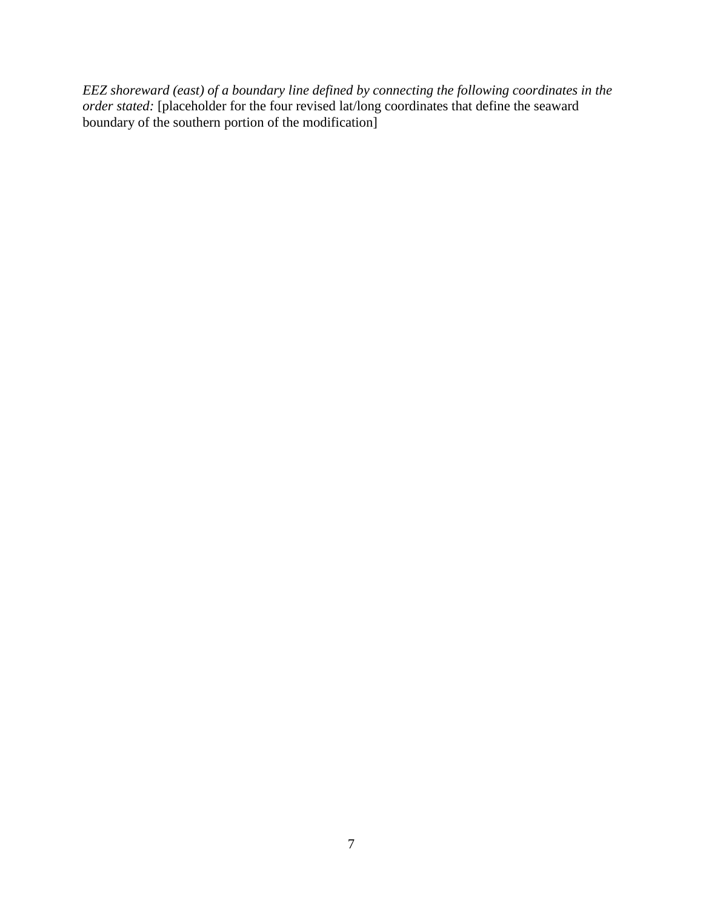*EEZ shoreward (east) of a boundary line defined by connecting the following coordinates in the order stated:* [placeholder for the four revised lat/long coordinates that define the seaward boundary of the southern portion of the modification]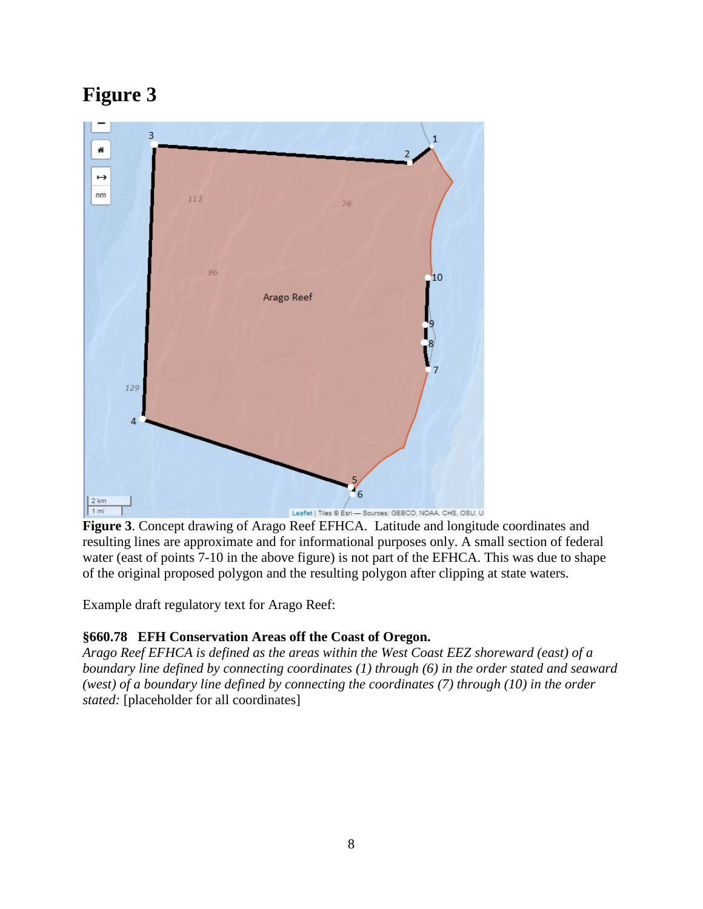

**Figure 3**. Concept drawing of Arago Reef EFHCA. Latitude and longitude coordinates and resulting lines are approximate and for informational purposes only. A small section of federal water (east of points 7-10 in the above figure) is not part of the EFHCA. This was due to shape of the original proposed polygon and the resulting polygon after clipping at state waters.

Example draft regulatory text for Arago Reef:

## **§660.78 EFH Conservation Areas off the Coast of Oregon.**

*Arago Reef EFHCA is defined as the areas within the West Coast EEZ shoreward (east) of a boundary line defined by connecting coordinates (1) through (6) in the order stated and seaward (west) of a boundary line defined by connecting the coordinates (7) through (10) in the order stated:* [placeholder for all coordinates]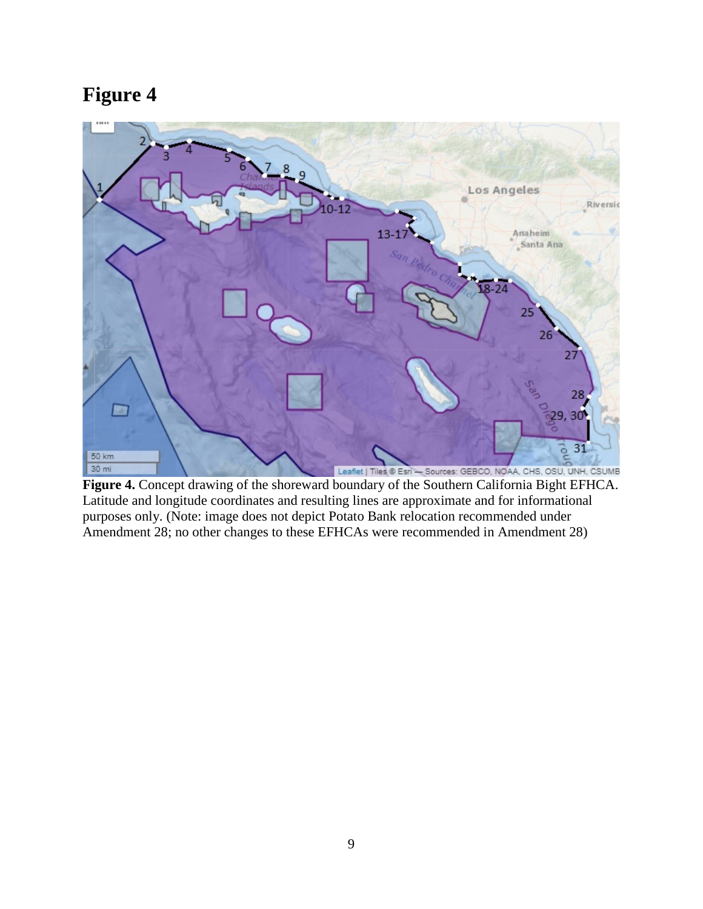

**Figure 4.** Concept drawing of the shoreward boundary of the Southern California Bight EFHCA. Latitude and longitude coordinates and resulting lines are approximate and for informational purposes only. (Note: image does not depict Potato Bank relocation recommended under Amendment 28; no other changes to these EFHCAs were recommended in Amendment 28)